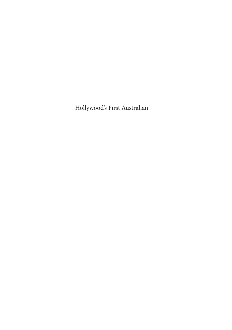Hollywood's First Australian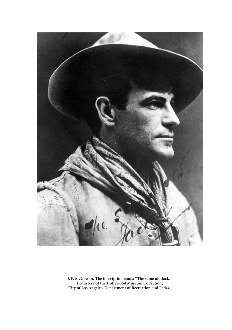

**J. P. McGowan. The inscription reads: "The same old Jack." (Courtesy of the Hollywood Museum Collection, City of Los Angeles, Department of Recreation and Parks.)**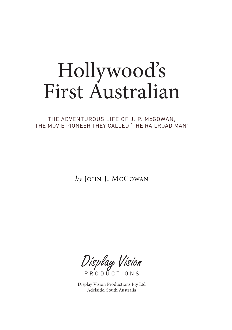# Hollywood's First Australian

THE ADVENTUROUS LIFE OF J. P. McGOWAN, THE MOVIE PIONEER THEY CALLED 'THE RAILROAD MAN'

by JOHN J. MCGOWAN

Display Vision  $P$  $R$  $O$  $D$  $U$  $C$  $T$  $I$  $O$  $N$  $S$ 

Display Vision Productions Pty Ltd

Adelaide, South Australia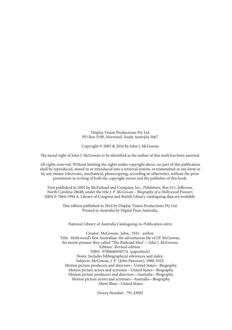Display Vision Productions Pty Ltd PO Box 3190, Norwood, South Australia 5067

Copyright © 2005 & 2016 by John J. McGowan

The moral right of John J. McGowan to be identified as the author of this work has been asserted.

All rights reserved. Without limiting the rights under copyright above, no part of this publication shall be reproduced, stored in or introduced into a retrieval system, or transmitted in any form or by any means (electronic, mechanical, photocopying, recording or otherwise), without the prior permission in writing of both the copyright owner and the publisher of this book.

First published in 2005 by McFarland and Company, Inc., Publishers, Box 611, Jefferson, North Carolina 28640, under the title *J. P. McGowan – Biography of a Hollywood Pioneer;* ISBN 0-7864-1994-6. Library of Congress and British Library cataloguing data are available.

> This edition published in 2016 by Display Vision Productions Pty Ltd. Printed in Australia by Digital Press Australia.

National Library of Australia Cataloguing-in-Publication entry

Creator: McGowan, John, 1941- author. Title: Hollywood's first Australian: the adventurous life of J.P. McGowan, the movie pioneer they called "The Railroad Man" / John J. McGowan. Edition: Revised edition. ISBN: 9780646950174 (paperback) Notes: Includes bibliographical references and index. Subjects: McGowan, J. P. (John Paterson), 1880-1952. Motion picture producers and directors—United States—Biography. Motion picture actors and actresses—United States—Biography. Motion picture producers and directors—Australia—Biography. Motion picture actors and actresses—Australia—Biography. Silent films—United States.

Dewey Number: 791.43092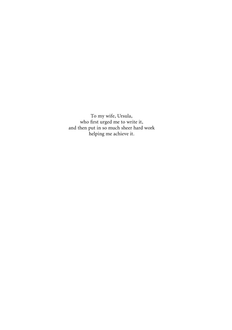To my wife, Ursula, who first urged me to write it, and then put in so much sheer hard work helping me achieve it.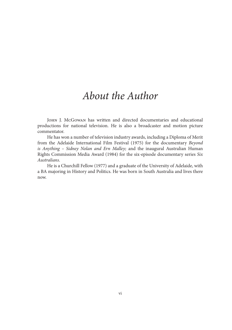#### *About the Author*

John J. McGowan has written and directed documentaries and educational productions for national television. He is also a broadcaster and motion picture commentator.

He has won a number of television industry awards, including a Diploma of Merit from the Adelaide International Film Festival (1975) for the documentary *Beyond is Anything – Sidney Nolan and Ern Malley;* and the inaugural Australian Human Rights Commission Media Award (1984) for the six-episode documentary series *Six Australians*.

He is a Churchill Fellow (1977) and a graduate of the University of Adelaide, with a BA majoring in History and Politics. He was born in South Australia and lives there now.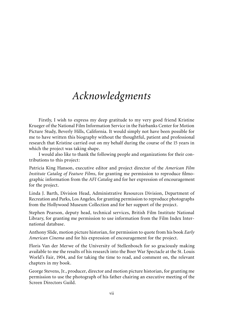#### *Acknowledgments*

Firstly, I wish to express my deep gratitude to my very good friend Kristine Krueger of the National Film Information Service in the Fairbanks Center for Motion Picture Study, Beverly Hills, California. It would simply not have been possible for me to have written this biography without the thoughtful, patient and professional research that Kristine carried out on my behalf during the course of the 15 years in which the project was taking shape.

I would also like to thank the following people and organizations for their contributions to this project:

Patricia King Hanson, executive editor and project director of the *American Film Institute Catalog of Feature Films*, for granting me permission to reproduce filmographic information from the *AFI Catalog* and for her expression of encouragement for the project.

Linda J. Barth, Division Head, Administrative Resources Division, Department of Recreation and Parks, Los Angeles, for granting permission to reproduce photographs from the Hollywood Museum Collection and for her support of the project.

Stephen Pearson, deputy head, technical services, British Film Institute National Library, for granting me permission to use information from the Film Index International database.

Anthony Slide, motion picture historian, for permission to quote from his book *Early American Cinema* and for his expression of encouragement for the project.

Floris Van der Merwe of the University of Stellenbosch for so graciously making available to me the results of his research into the Boer War Spectacle at the St. Louis World's Fair, 1904, and for taking the time to read, and comment on, the relevant chapters in my book.

George Stevens, Jr., producer, director and motion picture historian, for granting me permission to use the photograph of his father chairing an executive meeting of the Screen Directors Guild.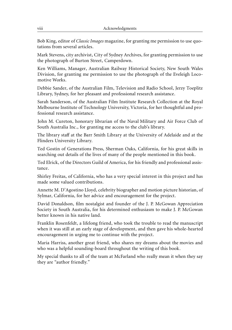Bob King, editor of *Classic Images* magazine, for granting me permission to use quotations from several articles.

Mark Stevens, city archivist, City of Sydney Archives, for granting permission to use the photograph of Burton Street, Camperdown.

Ken Williams, Manager, Australian Railway Historical Society, New South Wales Division, for granting me permission to use the photograph of the Eveleigh Locomotive Works.

Debbie Sander, of the Australian Film, Television and Radio School, Jerzy Toeplitz Library, Sydney, for her pleasant and professional research assistance.

Sarah Sanderson, of the Australian Film Institute Research Collection at the Royal Melbourne Institute of Technology University, Victoria, for her thoughtful and professional research assistance.

John M. Cureton, honorary librarian of the Naval Military and Air Force Club of South Australia Inc., for granting me access to the club's library.

The library staff at the Barr Smith Library at the University of Adelaide and at the Flinders University Library.

Ted Gostin of Generations Press, Sherman Oaks, California, for his great skills in searching out details of the lives of many of the people mentioned in this book.

Ted Elrick, of the Directors Guild of America, for his friendly and professional assistance.

Shirley Freitas, of California, who has a very special interest in this project and has made some valued contributions.

Annette M. D'Agostino Lloyd, celebrity biographer and motion picture historian, of Sylmar, California, for her advice and encouragement for the project.

David Donaldson, film nostalgist and founder of the J. P. McGowan Appreciation Society in South Australia, for his determined enthusiasm to make J. P. McGowan better known in his native land.

Franklin Rosenfeldt, a lifelong friend, who took the trouble to read the manuscript when it was still at an early stage of development, and then gave his whole-hearted encouragement in urging me to continue with the project.

Maria Harriss, another great friend, who shares my dreams about the movies and who was a helpful sounding-board throughout the writing of this book.

My special thanks to all of the team at McFarland who really mean it when they say they are "author friendly."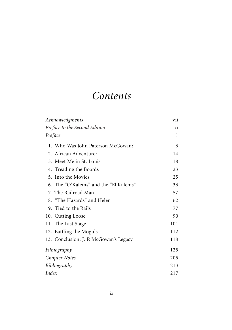#### *Contents Contents*

| Acknowledgments                        | vii |
|----------------------------------------|-----|
| Preface to the Second Edition          | хi  |
| Preface                                | 1   |
| 1. Who Was John Paterson McGowan?      | 3   |
| 2. African Adventurer                  | 14  |
| 3. Meet Me in St. Louis                | 18  |
| 4. Treading the Boards                 | 23  |
| 5. Into the Movies                     | 25  |
| 6. The "O'Kalems" and the "El Kalems"  | 33  |
| 7. The Railroad Man                    | 57  |
| 8. "The Hazards" and Helen             | 62  |
| 9. Tied to the Rails                   | 77  |
| 10. Cutting Loose                      | 90  |
| 11. The Last Stage                     | 101 |
| 12. Battling the Moguls                | 112 |
| 13. Conclusion: J. P. McGowan's Legacy | 118 |
| Filmography                            | 125 |
| <b>Chapter Notes</b>                   | 205 |
| Bibliography                           | 213 |
| Index                                  | 217 |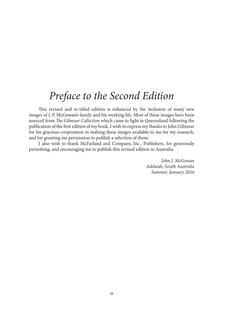### *Preface to the Second Edition*

This revised and re-titled edition is enhanced by the inclusion of many new images of J. P. McGowan's family and his working life. Most of these images have been sourced from *The Gilmour Collection* which came to light in Queensland following the publication of the first edition of my book. I wish to express my thanks to John Gilmour for his gracious cooperation in making these images available to me for my research, and for granting me permission to publish a selection of them.

I also wish to thank McFarland and Company, Inc., Publishers, for generously permitting, and encouraging me to publish this revised edition in Australia.

> *John J. McGowan Adelaide, South Australia Summer, January 2016*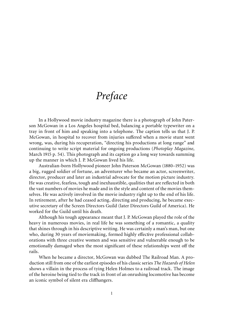### *Preface*

In a Hollywood movie industry magazine there is a photograph of John Paterson McGowan in a Los Angeles hospital bed, balancing a portable typewriter on a tray in front of him and speaking into a telephone. The caption tells us that J. P. McGowan, in hospital to recover from injuries suffered when a movie stunt went wrong, was, during his recuperation, "directing his productions at long range" and continuing to write script material for ongoing productions (*Photoplay Magazine*, March 1915 p. 54). This photograph and its caption go a long way towards summing up the manner in which J. P. McGowan lived his life.

Australian-born Hollywood pioneer John Paterson McGowan (1880–1952) was a big, rugged soldier of fortune, an adventurer who became an actor, screenwriter, director, producer and later an industrial advocate for the motion picture industry. He was creative, fearless, tough and inexhaustible, qualities that are reflected in both the vast numbers of movies he made and in the style and content of the movies themselves. He was actively involved in the movie industry right up to the end of his life. In retirement, after he had ceased acting, directing and producing, he became executive secretary of the Screen Directors Guild (later Directors Guild of America). He worked for the Guild until his death.

Although his tough appearance meant that J. P. McGowan played the role of the heavy in numerous movies, in real life he was something of a romantic, a quality that shines through in his descriptive writing. He was certainly a man's man, but one who, during 30 years of moviemaking, formed highly effective professional collaborations with three creative women and was sensitive and vulnerable enough to be emotionally damaged when the most significant of these relationships went off the rails.

When he became a director, McGowan was dubbed The Railroad Man. A production still from one of the earliest episodes of his classic series *The Hazards of Helen* shows a villain in the process of tying Helen Holmes to a railroad track. The image of the heroine being tied to the track in front of an onrushing locomotive has become an iconic symbol of silent era cliffhangers.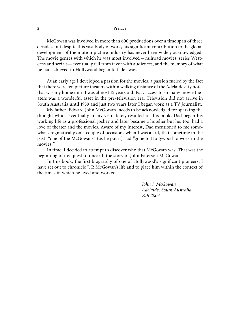McGowan was involved in more than 600 productions over a time span of three decades, but despite this vast body of work, his significant contribution to the global development of the motion picture industry has never been widely acknowledged. The movie genres with which he was most involved—railroad movies, series Westerns and serials—eventually fell from favor with audiences, and the memory of what he had achieved in Hollywood began to fade away.

At an early age I developed a passion for the movies, a passion fueled by the fact that there were ten picture theaters within walking distance of the Adelaide city hotel that was my home until I was almost 15 years old. Easy access to so many movie theaters was a wonderful asset in the pre-television era. Television did not arrive in South Australia until 1959 and just two years later I began work as a TV journalist.

My father, Edward John McGowan, needs to be acknowledged for sparking the thought which eventually, many years later, resulted in this book. Dad began his working life as a professional jockey and later became a hotelier but he, too, had a love of theater and the movies. Aware of my interest, Dad mentioned to me somewhat enigmatically on a couple of occasions when I was a kid, that sometime in the past, "one of the McGowans" (as he put it) had "gone to Hollywood to work in the movies."

In time, I decided to attempt to discover who that McGowan was. That was the beginning of my quest to unearth the story of John Paterson McGowan.

In this book, the first biography of one of Hollywood's significant pioneers, I have set out to chronicle J. P. McGowan's life and to place him within the context of the times in which he lived and worked.

> *John J. McGowan Adelaide, South Australia Fall 2004*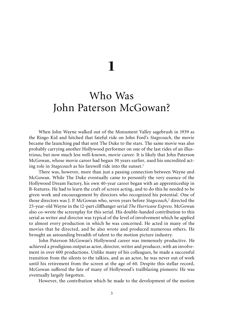# **¡**

## Who Was John Paterson McGowan?

When John Wayne walked out of the Monument Valley sagebrush in 1939 as the Ringo Kid and hitched that fateful ride on John Ford's *Stagecoach*, the movie became the launching pad that sent The Duke to the stars. The same movie was also probably carrying another Hollywood performer on one of the last rides of an illustrious, but now much less well-known, movie career. It is likely that John Paterson McGowan, whose movie career had begun 30 years earlier, used his uncredited acting role in *Stagecoach* as his farewell ride into the sunset.<sup>1</sup>

There was, however, more than just a passing connection between Wayne and McGowan. While The Duke eventually came to personify the very essence of the Hollywood Dream Factory, his own 40-year career began with an apprenticeship in B-features. He had to learn the craft of screen acting, and to do this he needed to be given work and encouragement by directors who recognized his potential. One of those directors was J. P. McGowan who, seven years before *Stagecoach*, <sup>2</sup> directed the 25-year-old Wayne in the 12-part cliffhanger serial *The Hurricane Express*. McGowan also co-wrote the screenplay for this serial*.* His double-handed contribution to this serial as writer and director was typical of the level of involvement which he applied to almost every production in which he was concerned. He acted in many of the movies that he directed, and he also wrote and produced numerous others. He brought an astounding breadth of talent to the motion picture industry.

John Paterson McGowan's Hollywood career was immensely productive. He achieved a prodigious output as actor, director, writer and producer, with an involvement in over 600 productions. Unlike many of his colleagues, he made a successful transition from the silents to the talkies, and as an actor, he was never out of work until his retirement from the screen at the age of 60. Despite this stellar record, McGowan suffered the fate of many of Hollywood's trailblazing pioneers: He was eventually largely forgotten.

However, the contribution which he made to the development of the motion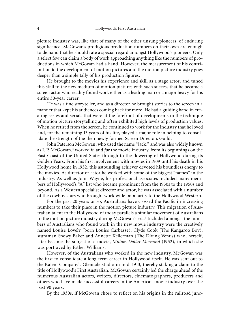picture industry was, like that of many of the other unsung pioneers, of enduring significance. McGowan's prodigious production numbers on their own are enough to demand that he should rate a special regard amongst Hollywood's pioneers. Only a select few can claim a body of work approaching anything like the numbers of productions in which McGowan had a hand. However, the measurement of his contribution to the development of motion pictures and the motion picture industry goes deeper than a simple tally of his production figures.

He brought to the movies his experience and skill as a stage actor, and tuned this skill to the new medium of motion pictures with such success that he became a screen actor who readily found work either as a leading man or a major heavy for his entire 30-year career.

He was a fine storyteller, and as a director he brought stories to the screen in a manner that kept his audiences coming back for more. He had a guiding hand in creating series and serials that were at the forefront of developments in the technique of motion picture storytelling and often exhibited high levels of production values. When he retired from the screen, he continued to work for the industry that he loved and, for the remaining 13 years of his life, played a major role in helping to consolidate the strength of the then newly formed Screen Directors Guild.

John Paterson McGowan, who used the name "Jack," and was also widely known as J. P. McGowan,<sup>3</sup> worked *in* and *for* the movie industry, from its beginnings on the East Coast of the United States through to the flowering of Hollywood during its Golden Years. From his first involvement with movies in 1909 until his death in his Hollywood home in 1952, this astounding achiever devoted his boundless energy to the movies. As director or actor he worked with some of the biggest "names" in the industry. As well as John Wayne, his professional associates included many members of Hollywood's "A" list who became prominent from the 1930s to the 1950s and beyond. As a Western specialist director and actor, he was associated with a number of the cowboy stars who brought worldwide popularity to the Hollywood Western.

For the past 20 years or so, Australians have crossed the Pacific in increasing numbers to take their place in the motion picture industry. This migration of Australian talent to the Hollywood of today parallels a similar movement of Australians to the motion picture industry during McGowan's era.<sup>4</sup> Included amongst the numbers of Australians who found work in the new movie industry were the creatively named Louise Lovely (born Louise Carbasse), Clyde Cook (The Kangaroo Boy), stuntman Snowy Baker and Annette Kellerman (The Diving Venus) who, herself, later became the subject of a movie, *Million Dollar Mermaid* (1952), in which she was portrayed by Esther Williams.

However, of the Australians who worked in the new industry, McGowan was the first to consolidate a long-term career in Hollywood itself. He was sent out to the Kalem Company's Glendale studio in mid–1913, thereby staking a claim to the title of Hollywood's First Australian. McGowan certainly led the charge ahead of the numerous Australian actors, writers, directors, cinematographers, producers and others who have made successful careers in the American movie industry over the past 90 years.

By the 1930s, if McGowan chose to reflect on his origins in the railroad junc-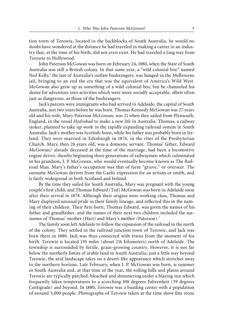tion town of Terowie, located in the backblocks of South Australia, he would no doubt have wondered at the distance he had traveled in making a career in an industry that, at the time of his birth, did not even exist. He had traveled a long way from Terowie to Hollywood.

John Paterson McGowan was born on February 24, 1880, when the State of South Australia was still a British colony. In that same year, a "wild colonial boy" named Ned Kelly,<sup>5</sup> the last of Australia's outlaw bushrangers, was hanged in the Melbourne jail, bringing to an end the era that was the equivalent of America's Wild West. McGowan also grew up as something of a wild colonial boy, but he channeled his desire for adventure into activities which were more socially acceptable, albeit often just as dangerous, as those of the bushrangers.

Jack's parents were immigrants who had arrived in Adelaide, the capital of South Australia, just two years before he was born. Thomas Kennedy McGowan was 27 years old and his wife, Mary Paterson McGowan, was 21 when they sailed from Plymouth, England, in the vessel *Hydrabad* to make a new life in Australia. Thomas, a railway stoker, planned to take up work in the rapidly expanding railroad system in South Australia. Jack's mother was Scottish-born, while his father was probably born in Ireland. They were married in Edinburgh in 1876, in the rites of the Presbyterian Church. Mary, then 20 years old, was a domestic servant. Thomas' father, Edward McGowan,<sup>6</sup> already deceased at the time of the marriage, had been a locomotive engine driver, thereby beginning three generations of railwaymen which culminated in his grandson, J. P. McGowan, who would eventually become known as The Railroad Man. Mary's father's occupation was that of farm "grieve," or overseer. The surname McGowan derives from the Gaelic expression for an artisan or smith, and is fairly widespread in both Scotland and Ireland.

By the time they sailed for South Australia, Mary was pregnant with the young couple's first child, and Thomas Edward (Ted) McGowan was born in Adelaide soon after their arrival in 1878. Although their origins were working class, Thomas and Mary displayed unusual pride in their family lineage, and reflected this in the naming of their children. Their first-born, Thomas Edward, was given the names of his father and grandfather, and the names of their next two children included the surnames of Thomas' mother (Hart) and Mary's mother (Paterson).<sup>7</sup>

The family soon left Adelaide to follow the expansion of the railroad in the north of the colony. They settled in the railroad junction town of Terowie, and Jack was born there in 1880. Jack was thus connected with trains from the moment of his birth. Terowie is located 130 miles (about 216 kilometers) north of Adelaide. The township is surrounded by fertile, grain-growing country. However, it is not far below the northerly limits of arable land in South Australia; just a little way beyond Terowie, the arid landscape takes on a desert-like appearance which stretches away to the northern horizon. Late February, when J. P. McGowan was born, is summer in South Australia and, at that time of the year, the rolling hills and plains around Terowie are typically parched, bleached and shimmering under a blazing sun which frequently takes temperatures to a scorching 100 degrees Fahrenheit (39 degrees Centigrade) and beyond. In 1880, Terowie was a bustling center with a population of around 5,000 people. Photographs of Terowie taken at the time show fine stone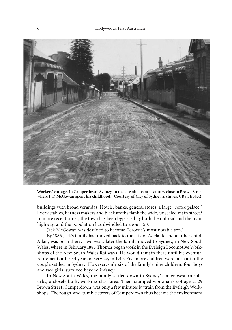

**Workers' cottages in Camperdown, Sydney, in the late nineteenth century close to Brown Street** where J. P. McGowan spent his childhood. (Courtesy of City of Sydney archives, CRS 51/543.)

buildings with broad verandas. Hotels, banks, general stores, a large "coffee palace," livery stables, harness makers and blacksmiths flank the wide, unsealed main street.<sup>8</sup> In more recent times, the town has been bypassed by both the railroad and the main highway, and the population has dwindled to about 150.

Jack McGowan was destined to become Terowie's most notable son.<sup>9</sup>

By 1883 Jack's family had moved back to the city of Adelaide and another child, Allan, was born there. Two years later the family moved to Sydney, in New South Wales, where in February 1885 Thomas began work in the Eveleigh Locomotive Workshops of the New South Wales Railways. He would remain there until his eventual retirement, after 34 years of service, in 1919. Five more children were born after the couple settled in Sydney. However, only six of the family's nine children, four boys and two girls, survived beyond infancy.

In New South Wales, the family settled down in Sydney's inner-western suburbs, a closely built, working-class area. Their cramped workman's cottage at 29 Brown Street, Camperdown, was only a few minutes by train from the Eveleigh Workshops. The rough-and-tumble streets of Camperdown thus became the environment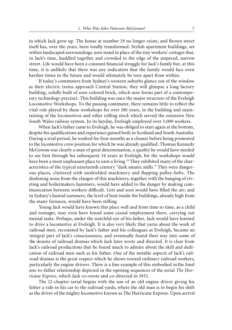in which Jack grew up. The house at number 29 no longer exists, and Brown street itself has, over the years, been totally transformed. Stylish apartment buildings, set within landscaped surroundings, now stand in place of the tiny workers' cottages that, in Jack's time, huddled together and crowded to the edge of the unpaved, narrow street. Life would have been a constant financial struggle for Jack's family but, at this time, it is unlikely that there was any indication that the family would face even harsher times in the future and would ultimately be torn apart from within.

If today's commuters from Sydney's western suburbs glance out of the window as their electric trains approach Central Station, they will glimpse a long factory building, solidly built of soot-colored brick, which now forms part of a contemporary technology precinct. This building was once the major structure of the Eveleigh Locomotive Workshops. To the passing commuter, there remains little to reflect the vital role played by these workshops for over 100 years, in the building and maintaining of the locomotives and other rolling stock which served the extensive New South Wales railway system. In its heyday, Eveleigh employed over 3,000 workers.

When Jack's father came to Eveleigh, he was obliged to start again at the bottom, despite his qualifications and experience gained both in Scotland and South Australia. During a trial period, he worked for four months as a cleaner before being promoted to the locomotive crew position for which he was already qualified. Thomas Kennedy McGowan was clearly a man of great determination, a quality he would have needed to see him through his subsequent 34 years at Eveleigh, for the workshops would have been a most unpleasant place to earn a living.<sup>10</sup> They exhibited many of the characteristics of the typical nineteenth century "dark satanic mills." They were dangerous places, cluttered with unshielded machinery and flapping pulley-belts. The deafening noise from the clangor of this machinery, together with the banging of riveting and boilermakers hammers, would have added to the danger by making communication between workers difficult. Grit and soot would have filled the air; and in Sydney's humid summers, the level of heat inside the buildings, already high from the many furnaces, would have been stifling.

Young Jack would have known this place well and from time to time, as a child and teenager, may even have found some casual employment there, carrying out menial tasks. Perhaps, under the watchful eye of his father, Jack would have learned to drive a locomotive at Eveleigh. It is also very likely that yarns about the work of railroad men, recounted by Jack's father and his colleagues at Eveleigh, became an integral part of Jack's consciousness, and eventually found their way into some of the dozens of railroad dramas which Jack later wrote and directed. It is clear from Jack's railroad productions that he found much to admire about the skill and dedication of railroad men such as his father. One of the notable aspects of Jack's railroad dramas is the great respect which he shows toward ordinary railroad workers, particularly the engine drivers. There is a fine example of this embodied in the fond son-to-father relationship depicted in the opening sequences of the serial *The Hurricane Express*, which Jack co-wrote and co-directed in 1932.

The 12-chapter serial begins with the son of an old engine driver giving his father a ride in his car to the railroad yards, where the old man is to begin his shift as the driver of the mighty locomotive known as The Hurricane Express. Upon arrival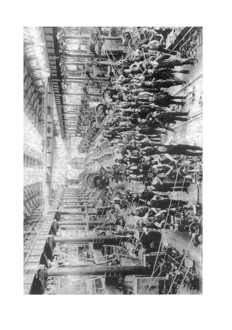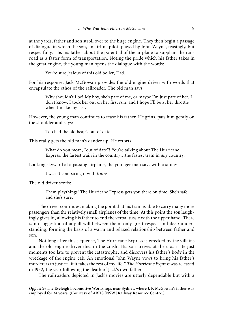at the yards, father and son stroll over to the huge engine. They then begin a passage of dialogue in which the son, an airline pilot, played by John Wayne, teasingly, but respectfully, ribs his father about the potential of the airplane to supplant the railroad as a faster form of transportation. Noting the pride which his father takes in the great engine, the young man opens the dialogue with the words:

You're sure jealous of this old boiler, Dad.

For his response, Jack McGowan provides the old engine driver with words that encapsulate the ethos of the railroader. The old man says:

Why shouldn't I be? My boy, she's part of me, or maybe I'm just part of her, I don't know. I took her out on her first run, and I hope I'll be at her throttle when I make my last.

However, the young man continues to tease his father. He grins, pats him gently on the shoulder and says:

Too bad the old heap's out of date.

This really gets the old man's dander up. He retorts:

What do you mean, "out of date"? You're talking about The Hurricane Express, the fastest train in the country…the fastest train in *any* country.

Looking skyward at a passing airplane, the younger man says with a smile:

I wasn't comparing it with *trains*.

The old driver scoffs:

Them playthings! The Hurricane Express gets you there on time. She's safe and she's sure.

The driver continues, making the point that his train is able to carry many more passengers than the relatively small airplanes of the time. At this point the son laughingly gives in, allowing his father to end the verbal tussle with the upper hand. There is no suggestion of any ill will between them, only great respect and deep understanding, forming the basis of a warm and relaxed relationship between father and son.

Not long after this sequence, The Hurricane Express is wrecked by the villains and the old engine driver dies in the crash. His son arrives at the crash site just moments too late to prevent the catastrophe, and discovers his father's body in the wreckage of the engine cab. An emotional John Wayne vows to bring his father's murderers to justice "if it takes the rest of my life." *The Hurricane Express* was released in 1932, the year following the death of Jack's own father.

The railroaders depicted in Jack's movies are utterly dependable but with a

*Opposite:* **The Eveleigh Locomotive Workshops near Sydney, where J. P. McGowan's father was employed for 34 years. (Courtesy of ARHS [NSW] Railway Resource Centre.)**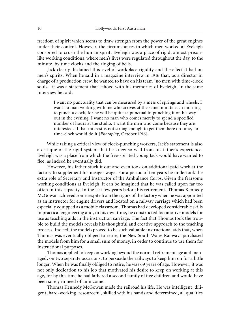freedom of spirit which seems to draw strength from the power of the great engines under their control. However, the circumstances in which men worked at Eveleigh conspired to crush the human spirit. Eveleigh was a place of rigid, almost prisonlike working conditions, where men's lives were regulated throughout the day, to the minute, by time clocks and the ringing of bells.

Jack clearly disdained this level of workplace rigidity and the effect it had on men's spirits. When he said in a magazine interview in 1916 that, as a director in charge of a production crew, he wanted to have on his team "no men with time-clock souls," it was a statement that echoed with his memories of Eveleigh. In the same interview he said:

I want no punctuality that can be measured by a mess of springs and wheels. I want no man working with me who arrives at the same minute each morning to punch a clock, for he will be quite as punctual in punching it on his way out in the evening. I want no man who comes merely to spend a specified number of hours at the studio. I want the men who come because they are interested. If that interest is not strong enough to get them here on time, no time-clock would do it [*Photoplay*, October 1916].

While taking a critical view of clock-punching workers, Jack's statement is also a critique of the rigid system that he knew so well from his father's experience. Eveleigh was a place from which the free-spirited young Jack would have wanted to flee, as indeed he eventually did.

However, his father stuck it out and even took on additional paid work at the factory to supplement his meager wage. For a period of ten years he undertook the extra role of Secretary and Instructor of the Ambulance Corps. Given the fearsome working conditions at Eveleigh, it can be imagined that he was called upon far too often in this capacity. In the last few years before his retirement, Thomas Kennedy McGowan achieved some respite from the rigors of the factory when he was appointed as an instructor for engine drivers and located on a railway carriage which had been especially equipped as a mobile classroom. Thomas had developed considerable skills in practical engineering and, in his own time, he constructed locomotive models for use as teaching aids in the instruction carriage. The fact that Thomas took the trouble to build the models reveals his thoughtful and creative approach to the teaching process. Indeed, the models proved to be such valuable instructional aids that, when Thomas was eventually obliged to retire, the New South Wales Railways purchased the models from him for a small sum of money, in order to continue to use them for instructional purposes.

Thomas applied to keep on working beyond the normal retirement age and managed, on two separate occasions, to persuade the railways to keep him on for a little longer. When he was finally obliged to retire, he was 69 years of age. However, it was not only dedication to his job that motivated his desire to keep on working at this age, for by this time he had fathered a second family of five children and would have been sorely in need of an income.

Thomas Kennedy McGowan made the railroad his life. He was intelligent, diligent, hard-working, resourceful, skilled with his hands and determined, all qualities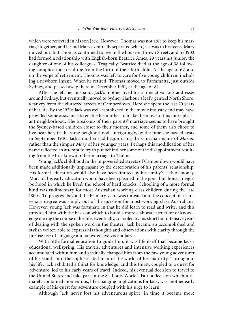which were reflected in his son Jack. However, Thomas was not able to keep his marriage together, and he and Mary eventually separated when Jack was in his teens. Mary moved out, but Thomas continued to live in the house in Brown Street, and by 1903 had formed a relationship with English-born Beatrice Ames, 29 years his junior, the daughter of one of his colleagues. Tragically, Beatrice died at the age of 38 following complications resulting from the birth of their fifth child. At the age of 67, and on the verge of retirement, Thomas was left to care for five young children, including a newborn infant. When he retired, Thomas moved to Parramatta, just outside Sydney, and passed away there in December 1931, at the age of 82.

After she left her husband, Jack's mother lived for a time at various addresses around Sydney, but eventually moved to Sydney Harbour's leafy, genteel North Shore, a far cry from the cluttered streets of Camperdown. Here she spent the last 20 years of her life. By the 1920s Jack was well-established in the movie industry and may have provided some assistance to enable his mother to make the move to this more pleasant neighborhood. The break-up of their parents' marriage seems to have brought the Sydney-based children closer to their mother, and some of them also chose to live near her, in the same neighborhood. Intriguingly, by the time she passed away in September 1940, Jack's mother had begun using the Christian name of *Marion* rather than the simpler *Mary* of her younger years. Perhaps this modification of her name reflected an attempt to try to put behind her some of the disappointment resulting from the breakdown of her marriage to Thomas.

Young Jack's childhood in the impoverished streets of Camperdown would have been made additionally unpleasant by the deterioration of his parents' relationship. His formal education would also have been limited by his family's lack of money. Much of his early education would have been gleaned in the poor-but-honest neighborhood in which he lived: the school of hard knocks. Schooling of a more formal kind was rudimentary for most Australian working class children during the late ¡800s. To progress beyond the Primary years was unusual and the concept of a University degree was simply out of the question for most working class Australians. However, young Jack was fortunate in that he did learn to read and write, and this provided him with the basis on which to build a more elaborate structure of knowledge during the course of his life. Eventually, schooled by his short but intensive years of dealing with the spoken word in the theater, Jack became an accomplished and stylish writer, able to express his thoughts and observations with clarity through the precise use of language and an extensive vocabulary.

With little formal education to guide him, it was life itself that became Jack's educational wellspring. His travels, adventures and intensive working experiences accumulated within him and gradually changed him from the raw young adventurer of his youth into the sophisticated man of the world of his maturity. Throughout his life, Jack exhibited a thirst for knowledge, and this thirst, coupled to a quest for adventure, led to his early years of travel. Indeed, his eventual decision to travel to the United States and take part in the St. Louis World's Fair, a decision which ultimately contained momentous, life-changing implications for Jack, was another early example of his quest for adventure coupled with his urge to learn.

Although Jack never lost his adventurous spirit, in time it became more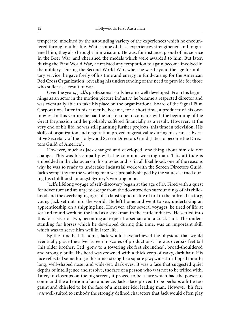temperate, modified by the astounding variety of the experiences which he encountered throughout his life. While some of these experiences strengthened and toughened him, they also brought him wisdom. He was, for instance, proud of his service in the Boer War, and cherished the medals which were awarded to him. But later, during the First World War, he resisted any temptation to again become involved in the military. During the Second World War, when he was beyond the age for military service, he gave freely of his time and energy in fund-raising for the American Red Cross Organization, revealing his understanding of the need to provide for those who suffer as a result of war.

Over the years, Jack's professional skills became well developed. From his beginnings as an actor in the motion picture industry, he became a respected director and was eventually able to take his place on the organizational board of the Signal Film Corporation. Later in his career he became, for a short time, a producer of his own movies. In this venture he had the misfortune to coincide with the beginning of the Great Depression and he probably suffered financially as a result. However, at the very end of his life, he was still planning further projects, this time in television. His skills of organization and negotiation proved of great value during his years as Executive Secretary of the Hollywood Screen Directors Guild (later to become the Directors Guild of America).

However, much as Jack changed and developed, one thing about him did not change. This was his empathy with the common working man. This attitude is embedded in the characters in his movies and is, in all likelihood, one of the reasons why he was so ready to undertake industrial work with the Screen Directors Guild. Jack's sympathy for the working man was probably shaped by the values learned during his childhood amongst Sydney's working poor.

Jack's lifelong voyage of self-discovery began at the age of 17. Fired with a quest for adventure and an urge to escape from the downtrodden surroundings of his childhood and the overhanging ogre of a claustrophobic life of toil in the railroad factory, young Jack set out into the world. He left home and went to sea, undertaking an apprenticeship on a shipping line. However, after several voyages, he tired of life at sea and found work on the land as a stockman in the cattle industry. He settled into this for a year or two, becoming an expert horseman and a crack shot. The understanding for horses which he developed during this time, was an important skill which was to serve him well in later life.

By the time he left home, Jack would have achieved the physique that would eventually grace the silver screen in scores of productions. He was over six feet tall (his older brother, Ted, grew to a towering six feet six inches), broad-shouldered and strongly built. His head was crowned with a thick crop of wavy, dark hair. His face reflected something of his inner strength: a square jaw; wide thin-lipped mouth; long, well-shaped nose; and wide-set, dark eyes. It was a face that suggested quiet depths of intelligence and resolve, the face of a person who was not to be trifled with. Later, in closeups on the big screen, it proved to be a face which had the power to command the attention of an audience. Jack's face proved to be perhaps a little too gaunt and chiseled to be the face of a matinee idol leading man. However, his face *was* well-suited to embody the strongly defined characters that Jack would often play